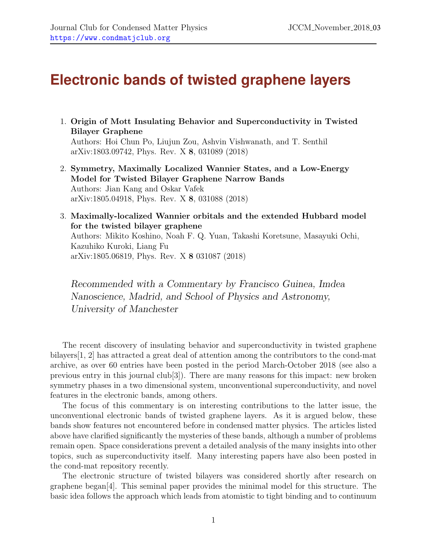## **Electronic bands of twisted graphene layers**

1. Origin of Mott Insulating Behavior and Superconductivity in Twisted Bilayer Graphene

Authors: Hoi Chun Po, Liujun Zou, Ashvin Vishwanath, and T. Senthil arXiv:1803.09742, Phys. Rev. X 8, 031089 (2018)

- 2. Symmetry, Maximally Localized Wannier States, and a Low-Energy Model for Twisted Bilayer Graphene Narrow Bands Authors: Jian Kang and Oskar Vafek arXiv:1805.04918, Phys. Rev. X 8, 031088 (2018)
- 3. Maximally-localized Wannier orbitals and the extended Hubbard model for the twisted bilayer graphene Authors: Mikito Koshino, Noah F. Q. Yuan, Takashi Koretsune, Masayuki Ochi, Kazuhiko Kuroki, Liang Fu arXiv:1805.06819, Phys. Rev. X 8 031087 (2018)

Recommended with a Commentary by Francisco Guinea, Imdea Nanoscience, Madrid, and School of Physics and Astronomy, University of Manchester

The recent discovery of insulating behavior and superconductivity in twisted graphene bilayers[\[1,](#page-4-0) [2\]](#page-4-1) has attracted a great deal of attention among the contributors to the cond-mat archive, as over 60 entries have been posted in the period March-October 2018 (see also a previous entry in this journal club[\[3\]](#page-4-2)). There are many reasons for this impact: new broken symmetry phases in a two dimensional system, unconventional superconductivity, and novel features in the electronic bands, among others.

The focus of this commentary is on interesting contributions to the latter issue, the unconventional electronic bands of twisted graphene layers. As it is argued below, these bands show features not encountered before in condensed matter physics. The articles listed above have clarified significantly the mysteries of these bands, although a number of problems remain open. Space considerations prevent a detailed analysis of the many insights into other topics, such as superconductivity itself. Many interesting papers have also been posted in the cond-mat repository recently.

The electronic structure of twisted bilayers was considered shortly after research on graphene began[\[4\]](#page-4-3). This seminal paper provides the minimal model for this structure. The basic idea follows the approach which leads from atomistic to tight binding and to continuum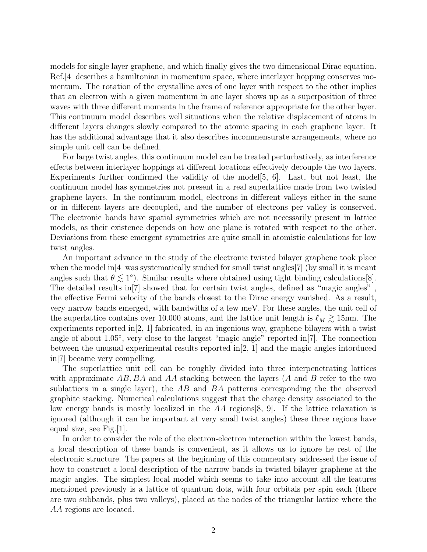models for single layer graphene, and which finally gives the two dimensional Dirac equation. Ref.[\[4\]](#page-4-3) describes a hamiltonian in momentum space, where interlayer hopping conserves momentum. The rotation of the crystalline axes of one layer with respect to the other implies that an electron with a given momentum in one layer shows up as a superposition of three waves with three different momenta in the frame of reference appropriate for the other layer. This continuum model describes well situations when the relative displacement of atoms in different layers changes slowly compared to the atomic spacing in each graphene layer. It has the additional advantage that it also describes incommensurate arrangements, where no simple unit cell can be defined.

For large twist angles, this continuum model can be treated perturbatively, as interference effects between interlayer hoppings at different locations effectively decouple the two layers. Experiments further confirmed the validity of the model  $[5, 6]$  $[5, 6]$  $[5, 6]$ . Last, but not least, the continuum model has symmetries not present in a real superlattice made from two twisted graphene layers. In the continuum model, electrons in different valleys either in the same or in different layers are decoupled, and the number of electrons per valley is conserved. The electronic bands have spatial symmetries which are not necessarily present in lattice models, as their existence depends on how one plane is rotated with respect to the other. Deviations from these emergent symmetries are quite small in atomistic calculations for low twist angles.

An important advance in the study of the electronic twisted bilayer graphene took place when the model in<sup>[\[4\]](#page-4-3)</sup> was systematically studied for small twist angles<sup>[\[7\]](#page-4-6)</sup> (by small it is meant angles such that  $\theta \lesssim 1^{\circ}$ ). Similar results where obtained using tight binding calculations [\[8\]](#page-4-7). The detailed results in[\[7\]](#page-4-6) showed that for certain twist angles, defined as "magic angles" , the effective Fermi velocity of the bands closest to the Dirac energy vanished. As a result, very narrow bands emerged, with bandwiths of a few meV. For these angles, the unit cell of the superlattice contains over 10.000 atoms, and the lattice unit length is  $\ell_M \gtrsim 15$ nm. The experiments reported in[\[2,](#page-4-1) [1\]](#page-4-0) fabricated, in an ingenious way, graphene bilayers with a twist angle of about 1.05◦ , very close to the largest "magic angle" reported in[\[7\]](#page-4-6). The connection between the unusual experimental results reported in[\[2,](#page-4-1) [1\]](#page-4-0) and the magic angles intorduced in[\[7\]](#page-4-6) became very compelling.

The superlattice unit cell can be roughly divided into three interpenetrating lattices with approximate  $AB$ ,  $BA$  and  $AA$  stacking between the layers (A and B refer to the two sublattices in a single layer), the  $AB$  and  $BA$  patterns corresponding the the observed graphite stacking. Numerical calculations suggest that the charge density associated to the low energy bands is mostly localized in the AA regions[\[8,](#page-4-7) [9\]](#page-4-8). If the lattice relaxation is ignored (although it can be important at very small twist angles) these three regions have equal size, see Fig.[\[1\]](#page-2-0).

In order to consider the role of the electron-electron interaction within the lowest bands, a local description of these bands is convenient, as it allows us to ignore he rest of the electronic structure. The papers at the beginning of this commentary addressed the issue of how to construct a local description of the narrow bands in twisted bilayer graphene at the magic angles. The simplest local model which seems to take into account all the features mentioned previously is a lattice of quantum dots, with four orbitals per spin each (there are two subbands, plus two valleys), placed at the nodes of the triangular lattice where the AA regions are located.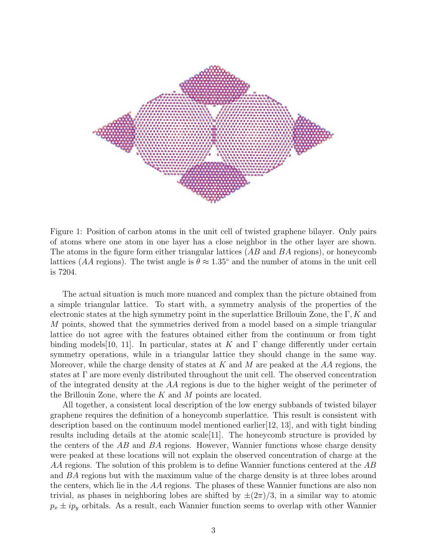

<span id="page-2-0"></span>Figure 1: Position of carbon atoms in the unit cell of twisted graphene bilayer. Only pairs of atoms where one atom in one layer has a close neighbor in the other layer are shown. The atoms in the figure form either triangular lattices  $(AB \text{ and } BA \text{ regions})$ , or honeycomb lattices (AA regions). The twist angle is  $\theta \approx 1.35^{\circ}$  and the number of atoms in the unit cell is 7204.

The actual situation is much more nuanced and complex than the picture obtained from a simple triangular lattice. To start with, a symmetry analysis of the properties of the electronic states at the high symmetry point in the superlattice Brillouin Zone, the  $\Gamma, K$  and M points, showed that the symmetries derived from a model based on a simple triangular lattice do not agree with the features obtained either from the continuum or from tight binding models [\[10,](#page-4-9) [11\]](#page-4-10). In particular, states at K and  $\Gamma$  change differently under certain symmetry operations, while in a triangular lattice they should change in the same way. Moreover, while the charge density of states at K and M are peaked at the  $AA$  regions, the states at Γ are more evenly distributed throughout the unit cell. The observed concentration of the integrated density at the AA regions is due to the higher weight of the perimeter of the Brillouin Zone, where the  $K$  and  $M$  points are located.

All together, a consistent local description of the low energy subbands of twisted bilayer graphene requires the definition of a honeycomb superlattice. This result is consistent with description based on the continuum model mentioned earlier[\[12,](#page-4-11) [13\]](#page-5-0), and with tight binding results including details at the atomic scale[\[11\]](#page-4-10). The honeycomb structure is provided by the centers of the AB and BA regions. However, Wannier functions whose charge density were peaked at these locations will not explain the observed concentration of charge at the AA regions. The solution of this problem is to define Wannier functions centered at the AB and BA regions but with the maximum value of the charge density is at three lobes around the centers, which lie in the AA regions. The phases of these Wannier functions are also non trivial, as phases in neighboring lobes are shifted by  $\pm(2\pi)/3$ , in a similar way to atomic  $p_x \pm i p_y$  orbitals. As a result, each Wannier function seems to overlap with other Wannier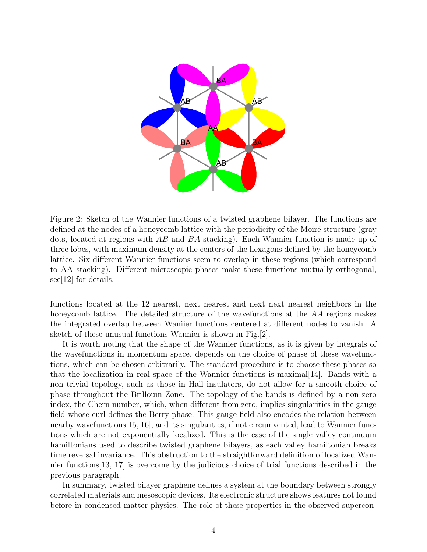

<span id="page-3-0"></span>Figure 2: Sketch of the Wannier functions of a twisted graphene bilayer. The functions are defined at the nodes of a honeycomb lattice with the periodicity of the Moiré structure (gray dots, located at regions with AB and BA stacking). Each Wannier function is made up of three lobes, with maximum density at the centers of the hexagons defined by the honeycomb lattice. Six different Wannier functions seem to overlap in these regions (which correspond to AA stacking). Different microscopic phases make these functions mutually orthogonal, see[\[12\]](#page-4-11) for details.

functions located at the 12 nearest, next nearest and next next nearest neighbors in the honeycomb lattice. The detailed structure of the wavefunctions at the AA regions makes the integrated overlap between Waniier functions centered at different nodes to vanish. A sketch of these unusual functions Wannier is shown in Fig.[\[2\]](#page-3-0).

It is worth noting that the shape of the Wannier functions, as it is given by integrals of the wavefunctions in momentum space, depends on the choice of phase of these wavefunctions, which can be chosen arbitrarily. The standard procedure is to choose these phases so that the localization in real space of the Wannier functions is maximal[\[14\]](#page-5-1). Bands with a non trivial topology, such as those in Hall insulators, do not allow for a smooth choice of phase throughout the Brillouin Zone. The topology of the bands is defined by a non zero index, the Chern number, which, when different from zero, implies singularities in the gauge field whose curl defines the Berry phase. This gauge field also encodes the relation between nearby wavefunctions[\[15,](#page-5-2) [16\]](#page-5-3), and its singularities, if not circumvented, lead to Wannier functions which are not exponentially localized. This is the case of the single valley continuum hamiltonians used to describe twisted graphene bilayers, as each valley hamiltonian breaks time reversal invariance. This obstruction to the straightforward definition of localized Wannier functions[\[13,](#page-5-0) [17\]](#page-5-4) is overcome by the judicious choice of trial functions described in the previous paragraph.

In summary, twisted bilayer graphene defines a system at the boundary between strongly correlated materials and mesoscopic devices. Its electronic structure shows features not found before in condensed matter physics. The role of these properties in the observed supercon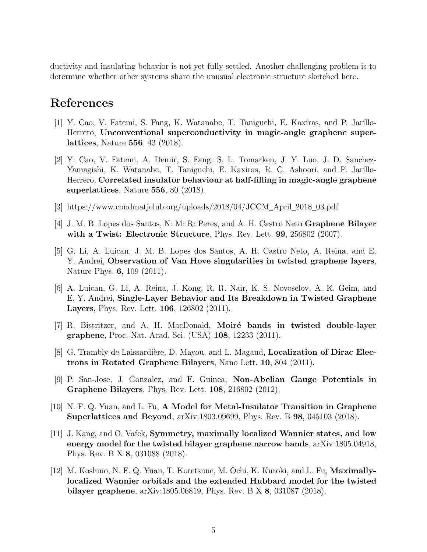ductivity and insulating behavior is not yet fully settled. Another challenging problem is to determine whether other systems share the unusual electronic structure sketched here.

## References

- <span id="page-4-0"></span>[1] Y. Cao, V. Fatemi, S. Fang, K. Watanabe, T. Taniguchi, E. Kaxiras, and P. Jarillo-Herrero, Unconventional superconductivity in magic-angle graphene superlattices, Nature 556, 43 (2018).
- <span id="page-4-1"></span>[2] Y: Cao, V. Fatemi, A. Demir, S. Fang, S. L. Tomarken, J. Y. Luo, J. D. Sanchez-Yamagishi, K. Watanabe, T. Taniguchi, E. Kaxiras, R. C. Ashoori, and P. Jarillo-Herrero, Correlated insulator behaviour at half-filling in magic-angle graphene superlattices, Nature 556, 80 (2018).
- <span id="page-4-2"></span>[3] https://www.condmatjclub.org/uploads/2018/04/JCCM April 2018 03.pdf
- <span id="page-4-3"></span>[4] J. M. B. Lopes dos Santos, N: M: R: Peres, and A. H. Castro Neto Graphene Bilayer with a Twist: Electronic Structure, Phys. Rev. Lett. 99, 256802 (2007).
- <span id="page-4-4"></span>[5] G. Li, A. Luican, J. M. B. Lopes dos Santos, A. H. Castro Neto, A. Reina, and E. Y. Andrei, Observation of Van Hove singularities in twisted graphene layers, Nature Phys. 6, 109 (2011).
- <span id="page-4-5"></span>[6] A. Luican, G. Li, A. Reina, J. Kong, R. R. Nair, K. S. Novoselov, A. K. Geim, and E. Y. Andrei, Single-Layer Behavior and Its Breakdown in Twisted Graphene Layers, Phys. Rev. Lett. 106, 126802 (2011).
- <span id="page-4-6"></span>[7] R. Bistritzer, and A. H. MacDonald, **Moiré bands in twisted double-layer** graphene, Proc. Nat. Acad. Sci. (USA) 108, 12233 (2011).
- <span id="page-4-7"></span>[8] G. Trambly de Laissardière, D. Mayou, and L. Magaud, **Localization of Dirac Elec**trons in Rotated Graphene Bilayers, Nano Lett. 10, 804 (2011).
- <span id="page-4-8"></span>[9] P. San-Jose, J. Gonzalez, and F. Guinea, Non-Abelian Gauge Potentials in Graphene Bilayers, Phys. Rev. Lett. 108, 216802 (2012).
- <span id="page-4-9"></span>[10] N. F. Q. Yuan, and L. Fu, A Model for Metal-Insulator Transition in Graphene Superlattices and Beyond, arXiv:1803.09699, Phys. Rev. B 98, 045103 (2018).
- <span id="page-4-10"></span>[11] J. Kang, and O. Vafek, Symmetry, maximally localized Wannier states, and low energy model for the twisted bilayer graphene narrow bands, arXiv:1805.04918, Phys. Rev. B X 8, 031088 (2018).
- <span id="page-4-11"></span>[12] M. Koshino, N. F. Q. Yuan, T. Koretsune, M. Ochi, K. Kuroki, and L. Fu, Maximallylocalized Wannier orbitals and the extended Hubbard model for the twisted bilayer graphene, arXiv:1805.06819, Phys. Rev. B X 8, 031087 (2018).